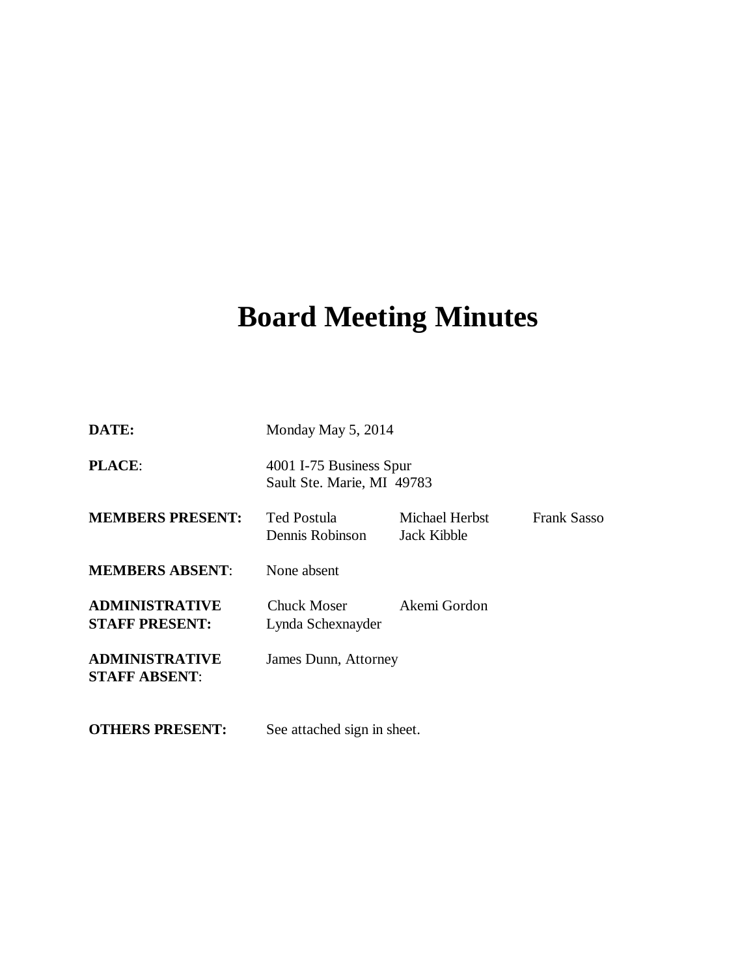# **Board Meeting Minutes**

| DATE:                                          | Monday May 5, 2014                                    |                               |                    |
|------------------------------------------------|-------------------------------------------------------|-------------------------------|--------------------|
| <b>PLACE:</b>                                  | 4001 I-75 Business Spur<br>Sault Ste. Marie, MI 49783 |                               |                    |
| <b>MEMBERS PRESENT:</b>                        | Ted Postula<br>Dennis Robinson                        | Michael Herbst<br>Jack Kibble | <b>Frank Sasso</b> |
| <b>MEMBERS ABSENT:</b>                         | None absent                                           |                               |                    |
| <b>ADMINISTRATIVE</b><br><b>STAFF PRESENT:</b> | Chuck Moser<br>Lynda Schexnayder                      | Akemi Gordon                  |                    |
| <b>ADMINISTRATIVE</b><br><b>STAFF ABSENT:</b>  | James Dunn, Attorney                                  |                               |                    |
| <b>OTHERS PRESENT:</b>                         | See attached sign in sheet.                           |                               |                    |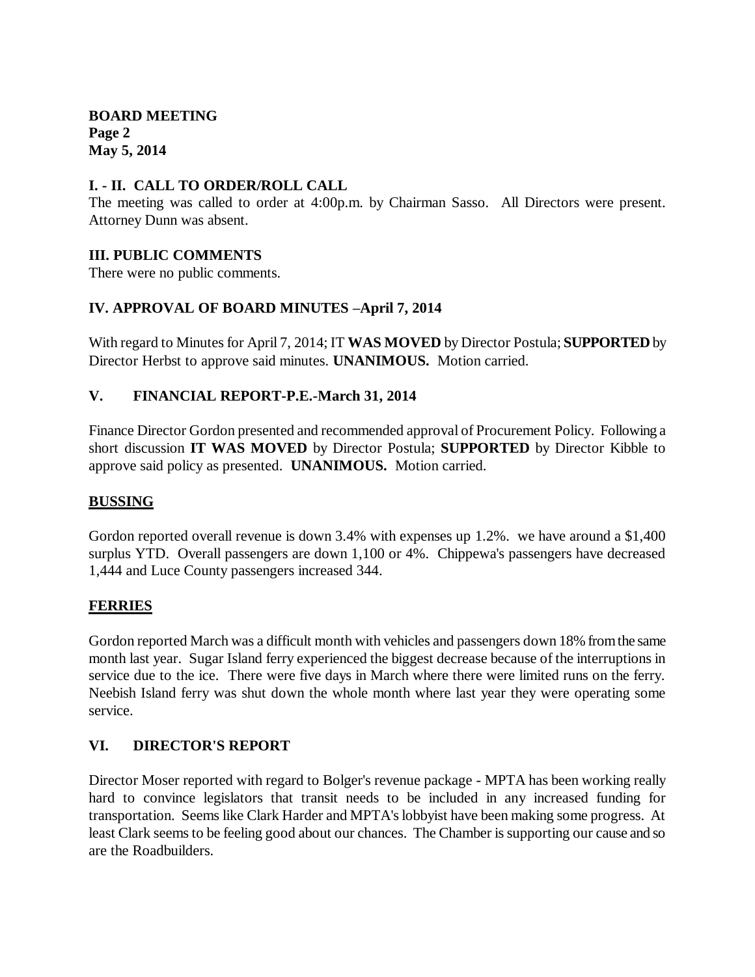**BOARD MEETING Page 2 May 5, 2014**

## **I. - II. CALL TO ORDER/ROLL CALL**

The meeting was called to order at 4:00p.m. by Chairman Sasso. All Directors were present. Attorney Dunn was absent.

## **III. PUBLIC COMMENTS**

There were no public comments.

# **IV. APPROVAL OF BOARD MINUTES –April 7, 2014**

With regard to Minutes for April 7, 2014; IT **WAS MOVED** by Director Postula; **SUPPORTED** by Director Herbst to approve said minutes. **UNANIMOUS.** Motion carried.

## **V. FINANCIAL REPORT-P.E.-March 31, 2014**

Finance Director Gordon presented and recommended approval of Procurement Policy. Following a short discussion **IT WAS MOVED** by Director Postula; **SUPPORTED** by Director Kibble to approve said policy as presented. **UNANIMOUS.** Motion carried.

#### **BUSSING**

Gordon reported overall revenue is down 3.4% with expenses up 1.2%. we have around a \$1,400 surplus YTD. Overall passengers are down 1,100 or 4%. Chippewa's passengers have decreased 1,444 and Luce County passengers increased 344.

#### **FERRIES**

Gordon reported March was a difficult month with vehicles and passengers down 18% from the same month last year. Sugar Island ferry experienced the biggest decrease because of the interruptions in service due to the ice. There were five days in March where there were limited runs on the ferry. Neebish Island ferry was shut down the whole month where last year they were operating some service.

# **VI. DIRECTOR'S REPORT**

Director Moser reported with regard to Bolger's revenue package - MPTA has been working really hard to convince legislators that transit needs to be included in any increased funding for transportation. Seems like Clark Harder and MPTA's lobbyist have been making some progress. At least Clark seems to be feeling good about our chances. The Chamber is supporting our cause and so are the Roadbuilders.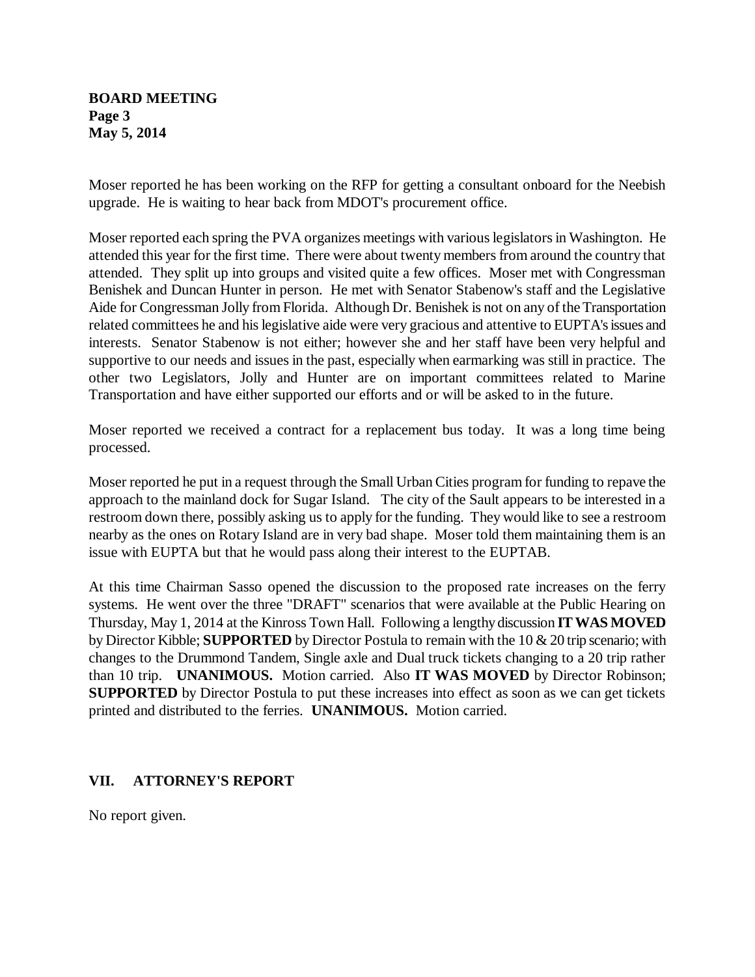## **BOARD MEETING Page 3 May 5, 2014**

Moser reported he has been working on the RFP for getting a consultant onboard for the Neebish upgrade. He is waiting to hear back from MDOT's procurement office.

Moser reported each spring the PVA organizes meetings with various legislators in Washington. He attended this year for the first time. There were about twenty members from around the country that attended. They split up into groups and visited quite a few offices. Moser met with Congressman Benishek and Duncan Hunter in person. He met with Senator Stabenow's staff and the Legislative Aide for Congressman Jolly from Florida. Although Dr. Benishek is not on any of the Transportation related committees he and his legislative aide were very gracious and attentive to EUPTA's issues and interests. Senator Stabenow is not either; however she and her staff have been very helpful and supportive to our needs and issues in the past, especially when earmarking was still in practice. The other two Legislators, Jolly and Hunter are on important committees related to Marine Transportation and have either supported our efforts and or will be asked to in the future.

Moser reported we received a contract for a replacement bus today. It was a long time being processed.

Moser reported he put in a request through the Small Urban Cities program for funding to repave the approach to the mainland dock for Sugar Island. The city of the Sault appears to be interested in a restroom down there, possibly asking us to apply for the funding. They would like to see a restroom nearby as the ones on Rotary Island are in very bad shape. Moser told them maintaining them is an issue with EUPTA but that he would pass along their interest to the EUPTAB.

At this time Chairman Sasso opened the discussion to the proposed rate increases on the ferry systems. He went over the three "DRAFT" scenarios that were available at the Public Hearing on Thursday, May 1, 2014 at the Kinross Town Hall. Following a lengthy discussion **IT WAS MOVED**  by Director Kibble; **SUPPORTED** by Director Postula to remain with the 10 & 20 trip scenario; with changes to the Drummond Tandem, Single axle and Dual truck tickets changing to a 20 trip rather than 10 trip. **UNANIMOUS.** Motion carried. Also **IT WAS MOVED** by Director Robinson; **SUPPORTED** by Director Postula to put these increases into effect as soon as we can get tickets printed and distributed to the ferries. **UNANIMOUS.** Motion carried.

# **VII. ATTORNEY'S REPORT**

No report given.